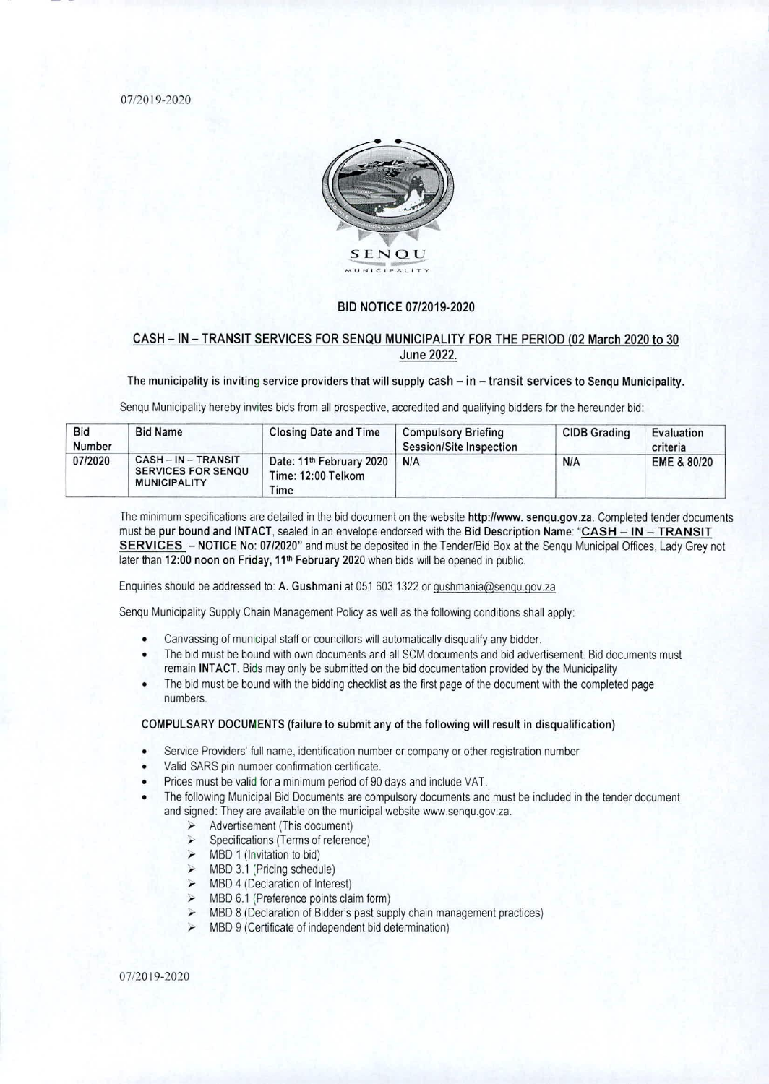07/2019-2020



## BID NOTICE 07/2019-2020

# CASH — IN — TRANSIT SERVICES FOR SENQU MUNICIPALITY FOR THE PERIOD (02 March 2020 to 30 June 2022.

## The municipality is inviting service providers that will supply cash  $-$  in  $-$  transit services to Senqu Municipality.

Senqu Municipality hereby invites bids from all prospective, accredited and qualifying bidders for the hereunder bid:

| <b>Bid</b><br><b>Number</b> | <b>Bid Name</b>                                                     | <b>Closing Date and Time</b>                                       | <b>Compulsory Briefing</b><br><b>Session/Site Inspection</b> | <b>CIDB Grading</b> | Evaluation<br>criteria |
|-----------------------------|---------------------------------------------------------------------|--------------------------------------------------------------------|--------------------------------------------------------------|---------------------|------------------------|
| 07/2020                     | CASH-IN-TRANSIT<br><b>SERVICES FOR SENQU</b><br><b>MUNICIPALITY</b> | Date: 11 <sup>th</sup> February 2020<br>Time: 12:00 Telkom<br>Time | <b>N/A</b>                                                   | <b>N/A</b>          | EME & 80/20            |

The minimum specifications are detailed in the bid document on the website http://www.senqu.gov.za. Completed tender documents must be pur bound and INTACT, sealed in an envelope endorsed with the Bid Description Name: "CASH - IN - TRANSIT SERVICES — NOTICE No: 07/2020" and must be deposited in the Tender/Bid Box at the Senqu Municipal Offices, Lady Grey not later than 12:00 noon on Friday, 11<sup>th</sup> February 2020 when bids will be opened in public.

Enquiries should be addressed to: A. Gushmani at 051 603 1322 or gushmania@senqu.gov.za

Senqu Municipality Supply Chain Management Policy as well as the following conditions shall apply:

- Canvassing of municipal staff or councillors will automatically disqualify any bidder.
- The bid must be bound with own documents and all SCM documents and bid advertisement. Bid documents must remain INTACT. Bids may only be submitted on the bid documentation provided by the Municipality
- The bid must be bound with the bidding checklist as the first page of the document with the completed page numbers,

#### COMPULSARY DOCUMENTS (failure to submit any of the following will result in disqualification)

- Service Providers' full name, identification number or company or other registration number
- Valid SARS pin number confirmation certificate.
- Prices must be valid for a minimum period of 90 days and include VAT.
- The following Municipal Bid Documents are compulsory documents and must be included in the tender document and signed: They are available on the municipal website www.senqu.gov.za.
	- Advertisement (This document)
	- $\triangleright$  Specifications (Terms of reference)
	- $>$  MBD 1 (Invitation to bid)
	- $\triangleright$  MBD 3.1 (Pricing schedule)
	- $\triangleright$  MBD 4 (Declaration of Interest)
	- $\triangleright$  MBD 6.1 (Preference points claim form)
	- $\triangleright$  MBD 8 (Declaration of Bidder's past supply chain management practices)
	- $\triangleright$  MBD 9 (Certificate of independent bid determination)

07/2019-2020